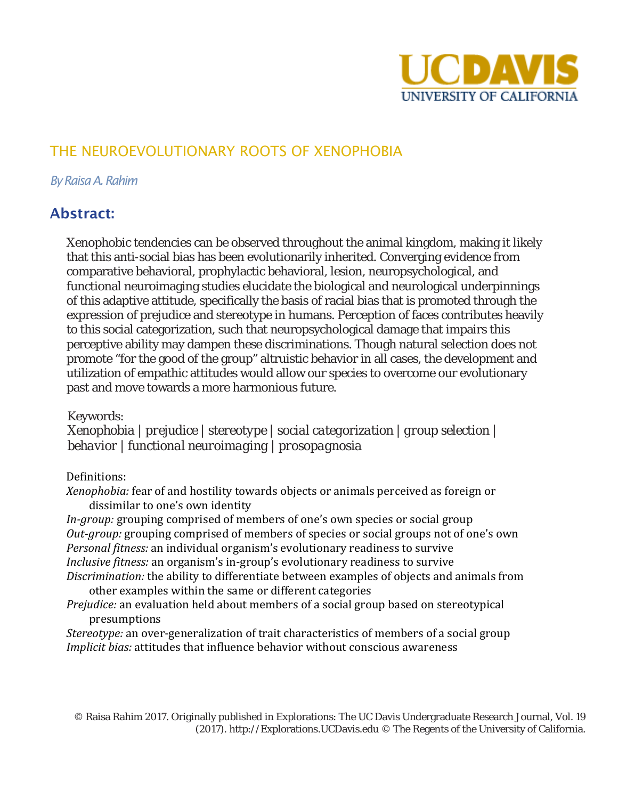

# THE NEUROEVOLUTIONARY ROOTS OF XENOPHOBIA

#### *By Raisa A. Rahim*

# Abstract:

Xenophobic tendencies can be observed throughout the animal kingdom, making it likely that this anti-social bias has been evolutionarily inherited. Converging evidence from comparative behavioral, prophylactic behavioral, lesion, neuropsychological, and functional neuroimaging studies elucidate the biological and neurological underpinnings of this adaptive attitude, specifically the basis of racial bias that is promoted through the expression of prejudice and stereotype in humans. Perception of faces contributes heavily to this social categorization, such that neuropsychological damage that impairs this perceptive ability may dampen these discriminations. Though natural selection does not promote "for the good of the group" altruistic behavior in all cases, the development and utilization of empathic attitudes would allow our species to overcome our evolutionary past and move towards a more harmonious future.

Keywords:

*Xenophobia | prejudice | stereotype | social categorization | group selection | behavior | functional neuroimaging | prosopagnosia*

#### Definitions:

*Xenophobia:* fear of and hostility towards objects or animals perceived as foreign or dissimilar to one's own identity

*In-group:* grouping comprised of members of one's own species or social group *Out-group:* grouping comprised of members of species or social groups not of one's own *Personal fitness:* an individual organism's evolutionary readiness to survive *Inclusive fitness:* an organism's in-group's evolutionary readiness to survive *Discrimination:* the ability to differentiate between examples of objects and animals from other examples within the same or different categories

*Prejudice:* an evaluation held about members of a social group based on stereotypical presumptions

*Stereotype:* an over-generalization of trait characteristics of members of a social group *Implicit bias:* attitudes that influence behavior without conscious awareness

© Raisa Rahim 2017. Originally published in Explorations: The UC Davis Undergraduate Research Journal, Vol. 19 (2017). http://Explorations.UCDavis.edu © The Regents of the University of California.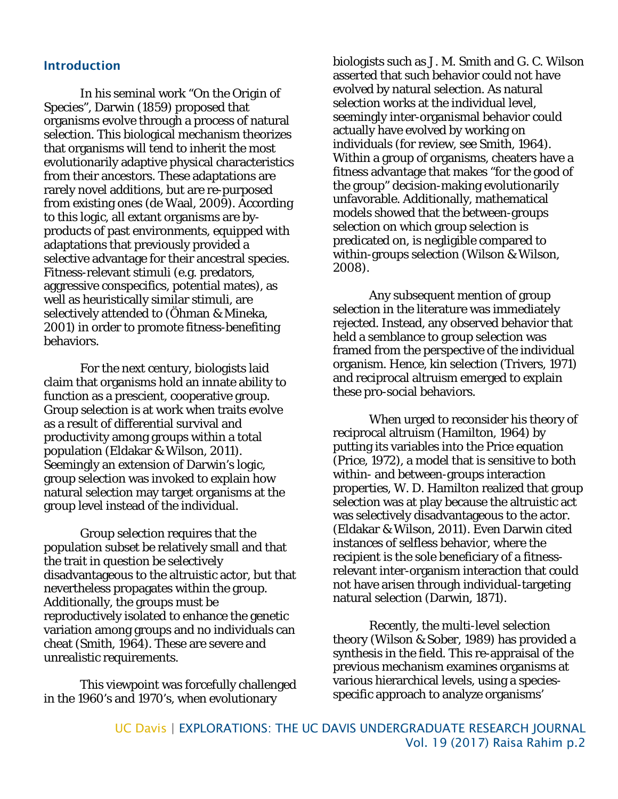#### Introduction

In his seminal work "On the Origin of Species", Darwin (1859) proposed that organisms evolve through a process of natural selection. This biological mechanism theorizes that organisms will tend to inherit the most evolutionarily adaptive physical characteristics from their ancestors. These adaptations are rarely novel additions, but are re-purposed from existing ones (de Waal, 2009). According to this logic, all extant organisms are byproducts of past environments, equipped with adaptations that previously provided a selective advantage for their ancestral species. Fitness-relevant stimuli (e.g. predators, aggressive conspecifics, potential mates), as well as heuristically similar stimuli, are selectively attended to (Öhman & Mineka, 2001) in order to promote fitness-benefiting behaviors.

For the next century, biologists laid claim that organisms hold an innate ability to function as a prescient, cooperative group. Group selection is at work when traits evolve as a result of differential survival and productivity among groups within a total population (Eldakar & Wilson, 2011). Seemingly an extension of Darwin's logic, group selection was invoked to explain how natural selection may target organisms at the group level instead of the individual.

Group selection requires that the population subset be relatively small and that the trait in question be selectively disadvantageous to the altruistic actor, but that nevertheless propagates within the group. Additionally, the groups must be reproductively isolated to enhance the genetic variation among groups and no individuals can cheat (Smith, 1964). These are severe and unrealistic requirements.

This viewpoint was forcefully challenged in the 1960's and 1970's, when evolutionary

biologists such as J. M. Smith and G. C. Wilson asserted that such behavior could not have evolved by natural selection. As natural selection works at the individual level, seemingly inter-organismal behavior could actually have evolved by working on individuals (for review, see Smith, 1964). Within a group of organisms, cheaters have a fitness advantage that makes "for the good of the group" decision-making evolutionarily unfavorable. Additionally, mathematical models showed that the between-groups selection on which group selection is predicated on, is negligible compared to within-groups selection (Wilson & Wilson, 2008).

Any subsequent mention of group selection in the literature was immediately rejected. Instead, any observed behavior that held a semblance to group selection was framed from the perspective of the individual organism. Hence, kin selection (Trivers, 1971) and reciprocal altruism emerged to explain these pro-social behaviors.

When urged to reconsider his theory of reciprocal altruism (Hamilton, 1964) by putting its variables into the Price equation (Price, 1972), a model that is sensitive to both within- and between-groups interaction properties, W. D. Hamilton realized that group selection was at play because the altruistic act was selectively disadvantageous to the actor. (Eldakar & Wilson, 2011). Even Darwin cited instances of selfless behavior, where the recipient is the sole beneficiary of a fitnessrelevant inter-organism interaction that could not have arisen through individual-targeting natural selection (Darwin, 1871).

Recently, the multi-level selection theory (Wilson & Sober, 1989) has provided a synthesis in the field. This re-appraisal of the previous mechanism examines organisms at various hierarchical levels, using a speciesspecific approach to analyze organisms'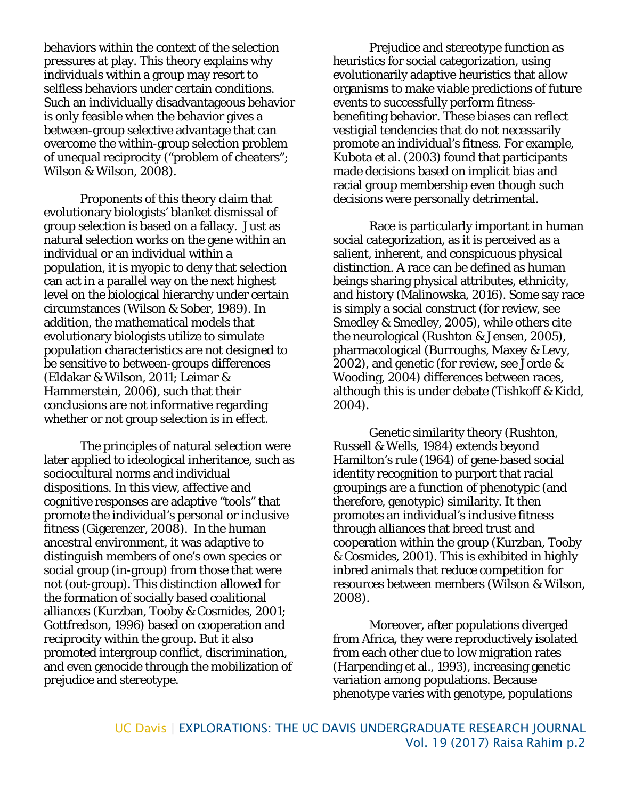behaviors within the context of the selection pressures at play. This theory explains why individuals within a group may resort to selfless behaviors under certain conditions. Such an individually disadvantageous behavior is only feasible when the behavior gives a between-group selective advantage that can overcome the within-group selection problem of unequal reciprocity ("problem of cheaters"; Wilson & Wilson, 2008).

Proponents of this theory claim that evolutionary biologists' blanket dismissal of group selection is based on a fallacy. Just as natural selection works on the gene within an individual or an individual within a population, it is myopic to deny that selection can act in a parallel way on the next highest level on the biological hierarchy under certain circumstances (Wilson & Sober, 1989). In addition, the mathematical models that evolutionary biologists utilize to simulate population characteristics are not designed to be sensitive to between-groups differences (Eldakar & Wilson, 2011; Leimar & Hammerstein, 2006), such that their conclusions are not informative regarding whether or not group selection is in effect.

The principles of natural selection were later applied to ideological inheritance, such as sociocultural norms and individual dispositions. In this view, affective and cognitive responses are adaptive "tools" that promote the individual's personal or inclusive fitness (Gigerenzer, 2008). In the human ancestral environment, it was adaptive to distinguish members of one's own species or social group (in-group) from those that were not (out-group). This distinction allowed for the formation of socially based coalitional alliances (Kurzban, Tooby & Cosmides, 2001; Gottfredson, 1996) based on cooperation and reciprocity within the group. But it also promoted intergroup conflict, discrimination, and even genocide through the mobilization of prejudice and stereotype.

Prejudice and stereotype function as heuristics for social categorization, using evolutionarily adaptive heuristics that allow organisms to make viable predictions of future events to successfully perform fitnessbenefiting behavior. These biases can reflect vestigial tendencies that do not necessarily promote an individual's fitness. For example, Kubota et al. (2003) found that participants made decisions based on implicit bias and racial group membership even though such decisions were personally detrimental.

Race is particularly important in human social categorization, as it is perceived as a salient, inherent, and conspicuous physical distinction. A race can be defined as human beings sharing physical attributes, ethnicity, and history (Malinowska, 2016). Some say race is simply a social construct (for review, see Smedley & Smedley, 2005), while others cite the neurological (Rushton & Jensen, 2005), pharmacological (Burroughs, Maxey & Levy, 2002), and genetic (for review, see Jorde & Wooding, 2004) differences between races, although this is under debate (Tishkoff & Kidd, 2004).

Genetic similarity theory (Rushton, Russell & Wells, 1984) extends beyond Hamilton's rule (1964) of gene-based social identity recognition to purport that racial groupings are a function of phenotypic (and therefore, genotypic) similarity. It then promotes an individual's inclusive fitness through alliances that breed trust and cooperation within the group (Kurzban, Tooby & Cosmides, 2001). This is exhibited in highly inbred animals that reduce competition for resources between members (Wilson & Wilson, 2008).

Moreover, after populations diverged from Africa, they were reproductively isolated from each other due to low migration rates (Harpending et al., 1993), increasing genetic variation among populations. Because phenotype varies with genotype, populations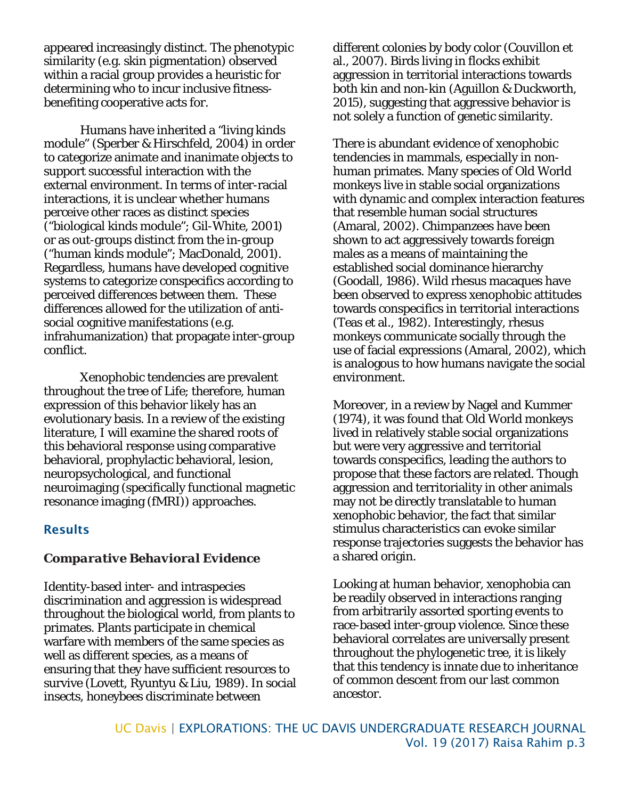appeared increasingly distinct. The phenotypic similarity (e.g. skin pigmentation) observed within a racial group provides a heuristic for determining who to incur inclusive fitnessbenefiting cooperative acts for.

Humans have inherited a "living kinds module" (Sperber & Hirschfeld, 2004) in order to categorize animate and inanimate objects to support successful interaction with the external environment. In terms of inter-racial interactions, it is unclear whether humans perceive other races as distinct species ("biological kinds module"; Gil-White, 2001) or as out-groups distinct from the in-group ("human kinds module"; MacDonald, 2001). Regardless, humans have developed cognitive systems to categorize conspecifics according to perceived differences between them. These differences allowed for the utilization of antisocial cognitive manifestations (e.g. infrahumanization) that propagate inter-group conflict.

Xenophobic tendencies are prevalent throughout the tree of Life; therefore, human expression of this behavior likely has an evolutionary basis. In a review of the existing literature, I will examine the shared roots of this behavioral response using comparative behavioral, prophylactic behavioral, lesion, neuropsychological, and functional neuroimaging (specifically functional magnetic resonance imaging (fMRI)) approaches.

#### **Results**

#### *Comparative Behavioral Evidence*

Identity-based inter- and intraspecies discrimination and aggression is widespread throughout the biological world, from plants to primates. Plants participate in chemical warfare with members of the same species as well as different species, as a means of ensuring that they have sufficient resources to survive (Lovett, Ryuntyu & Liu, 1989). In social insects, honeybees discriminate between

different colonies by body color (Couvillon et al., 2007). Birds living in flocks exhibit aggression in territorial interactions towards both kin and non-kin (Aguillon & Duckworth, 2015), suggesting that aggressive behavior is not solely a function of genetic similarity.

There is abundant evidence of xenophobic tendencies in mammals, especially in nonhuman primates. Many species of Old World monkeys live in stable social organizations with dynamic and complex interaction features that resemble human social structures (Amaral, 2002). Chimpanzees have been shown to act aggressively towards foreign males as a means of maintaining the established social dominance hierarchy (Goodall, 1986). Wild rhesus macaques have been observed to express xenophobic attitudes towards conspecifics in territorial interactions (Teas et al., 1982). Interestingly, rhesus monkeys communicate socially through the use of facial expressions (Amaral, 2002), which is analogous to how humans navigate the social environment.

Moreover, in a review by Nagel and Kummer (1974), it was found that Old World monkeys lived in relatively stable social organizations but were very aggressive and territorial towards conspecifics, leading the authors to propose that these factors are related. Though aggression and territoriality in other animals may not be directly translatable to human xenophobic behavior, the fact that similar stimulus characteristics can evoke similar response trajectories suggests the behavior has a shared origin.

Looking at human behavior, xenophobia can be readily observed in interactions ranging from arbitrarily assorted sporting events to race-based inter-group violence. Since these behavioral correlates are universally present throughout the phylogenetic tree, it is likely that this tendency is innate due to inheritance of common descent from our last common ancestor.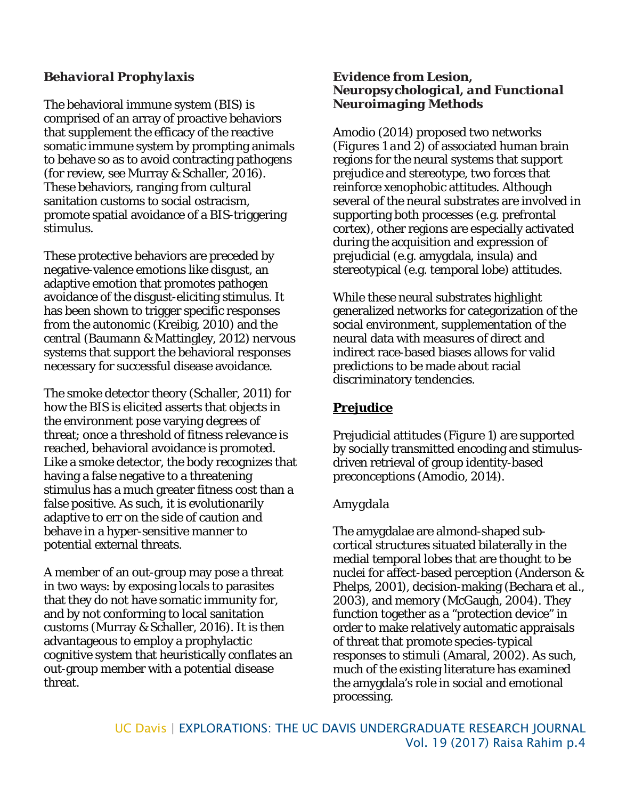### *Behavioral Prophylaxis*

The behavioral immune system (BIS) is comprised of an array of proactive behaviors that supplement the efficacy of the reactive somatic immune system by prompting animals to behave so as to avoid contracting pathogens (for review, see Murray & Schaller, 2016). These behaviors, ranging from cultural sanitation customs to social ostracism, promote spatial avoidance of a BIS-triggering stimulus.

These protective behaviors are preceded by negative-valence emotions like disgust, an adaptive emotion that promotes pathogen avoidance of the disgust-eliciting stimulus. It has been shown to trigger specific responses from the autonomic (Kreibig, 2010) and the central (Baumann & Mattingley, 2012) nervous systems that support the behavioral responses necessary for successful disease avoidance.

The smoke detector theory (Schaller, 2011) for how the BIS is elicited asserts that objects in the environment pose varying degrees of threat; once a threshold of fitness relevance is reached, behavioral avoidance is promoted. Like a smoke detector, the body recognizes that having a false negative to a threatening stimulus has a much greater fitness cost than a false positive. As such, it is evolutionarily adaptive to err on the side of caution and behave in a hyper-sensitive manner to potential external threats.

A member of an out-group may pose a threat in two ways: by exposing locals to parasites that they do not have somatic immunity for, and by not conforming to local sanitation customs (Murray & Schaller, 2016). It is then advantageous to employ a prophylactic cognitive system that heuristically conflates an out-group member with a potential disease threat.

#### *Evidence from Lesion, Neuropsychological, and Functional Neuroimaging Methods*

Amodio (2014) proposed two networks (*Figures 1 and 2*) of associated human brain regions for the neural systems that support prejudice and stereotype, two forces that reinforce xenophobic attitudes. Although several of the neural substrates are involved in supporting both processes (e.g. prefrontal cortex), other regions are especially activated during the acquisition and expression of prejudicial (e.g. amygdala, insula) and stereotypical (e.g. temporal lobe) attitudes.

While these neural substrates highlight generalized networks for categorization of the social environment, supplementation of the neural data with measures of direct and indirect race-based biases allows for valid predictions to be made about racial discriminatory tendencies.

# **Prejudice**

Prejudicial attitudes (*Figure 1*) are supported by socially transmitted encoding and stimulusdriven retrieval of group identity-based preconceptions (Amodio, 2014).

### *Amygdala*

The amygdalae are almond-shaped subcortical structures situated bilaterally in the medial temporal lobes that are thought to be nuclei for affect-based perception (Anderson & Phelps, 2001), decision-making (Bechara et al., 2003), and memory (McGaugh, 2004). They function together as a "protection device" in order to make relatively automatic appraisals of threat that promote species-typical responses to stimuli (Amaral, 2002). As such, much of the existing literature has examined the amygdala's role in social and emotional processing.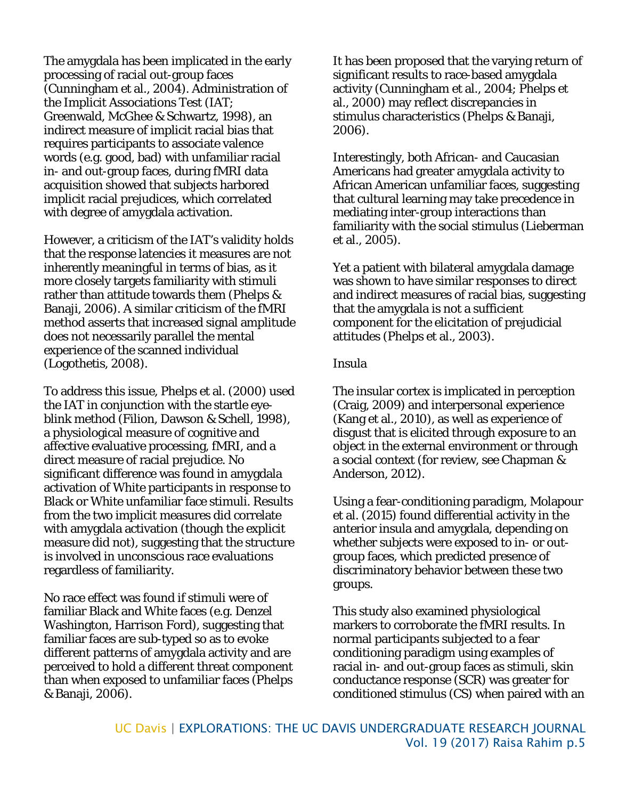The amygdala has been implicated in the early processing of racial out-group faces (Cunningham et al., 2004). Administration of the Implicit Associations Test (IAT; Greenwald, McGhee & Schwartz, 1998), an indirect measure of implicit racial bias that requires participants to associate valence words (e.g. good, bad) with unfamiliar racial in- and out-group faces, during fMRI data acquisition showed that subjects harbored implicit racial prejudices, which correlated with degree of amygdala activation.

However, a criticism of the IAT's validity holds that the response latencies it measures are not inherently meaningful in terms of bias, as it more closely targets familiarity with stimuli rather than attitude towards them (Phelps & Banaji, 2006). A similar criticism of the fMRI method asserts that increased signal amplitude does not necessarily parallel the mental experience of the scanned individual (Logothetis, 2008).

To address this issue, Phelps et al. (2000) used the IAT in conjunction with the startle eyeblink method (Filion, Dawson & Schell, 1998), a physiological measure of cognitive and affective evaluative processing, fMRI, and a direct measure of racial prejudice. No significant difference was found in amygdala activation of White participants in response to Black or White unfamiliar face stimuli. Results from the two implicit measures did correlate with amygdala activation (though the explicit measure did not), suggesting that the structure is involved in unconscious race evaluations regardless of familiarity.

No race effect was found if stimuli were of familiar Black and White faces (e.g. Denzel Washington, Harrison Ford), suggesting that familiar faces are sub-typed so as to evoke different patterns of amygdala activity and are perceived to hold a different threat component than when exposed to unfamiliar faces (Phelps & Banaji, 2006).

It has been proposed that the varying return of significant results to race-based amygdala activity (Cunningham et al., 2004; Phelps et al., 2000) may reflect discrepancies in stimulus characteristics (Phelps & Banaji, 2006).

Interestingly, both African- and Caucasian Americans had greater amygdala activity to African American unfamiliar faces, suggesting that cultural learning may take precedence in mediating inter-group interactions than familiarity with the social stimulus (Lieberman et al., 2005).

Yet a patient with bilateral amygdala damage was shown to have similar responses to direct and indirect measures of racial bias, suggesting that the amygdala is not a sufficient component for the elicitation of prejudicial attitudes (Phelps et al., 2003).

#### *Insula*

The insular cortex is implicated in perception (Craig, 2009) and interpersonal experience (Kang et al., 2010), as well as experience of disgust that is elicited through exposure to an object in the external environment or through a social context (for review, see Chapman & Anderson, 2012).

Using a fear-conditioning paradigm, Molapour et al. (2015) found differential activity in the anterior insula and amygdala, depending on whether subjects were exposed to in- or outgroup faces, which predicted presence of discriminatory behavior between these two groups.

This study also examined physiological markers to corroborate the fMRI results. In normal participants subjected to a fear conditioning paradigm using examples of racial in- and out-group faces as stimuli, skin conductance response (SCR) was greater for conditioned stimulus (CS) when paired with an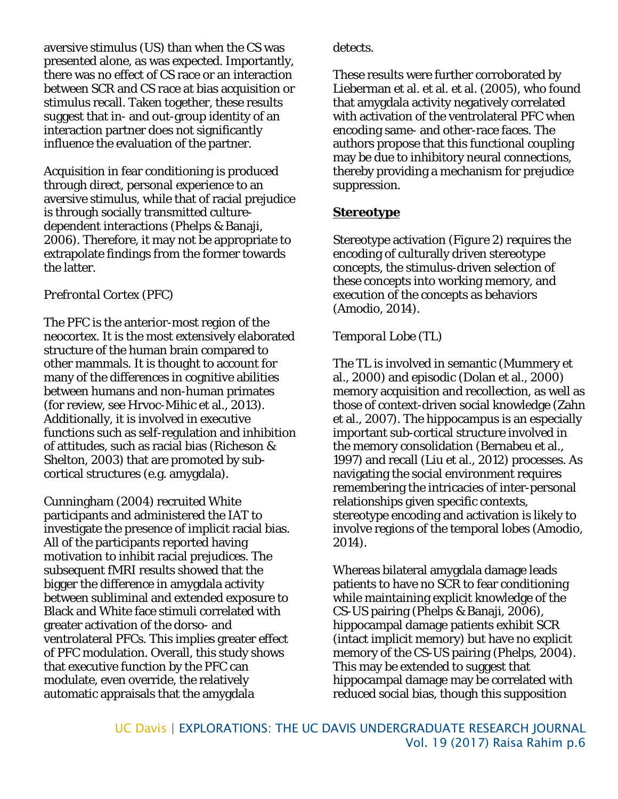aversive stimulus (US) than when the CS was presented alone, as was expected. Importantly, there was no effect of CS race or an interaction between SCR and CS race at bias acquisition or stimulus recall. Taken together, these results suggest that in*-* and out-group identity of an interaction partner does not significantly influence the evaluation of the partner.

Acquisition in fear conditioning is produced through direct, personal experience to an aversive stimulus, while that of racial prejudice is through socially transmitted culturedependent interactions (Phelps & Banaji, 2006). Therefore, it may not be appropriate to extrapolate findings from the former towards the latter.

### *Prefrontal Cortex (PFC)*

The PFC is the anterior-most region of the neocortex. It is the most extensively elaborated structure of the human brain compared to other mammals. It is thought to account for many of the differences in cognitive abilities between humans and non-human primates (for review, see Hrvoc-Mihic et al., 2013). Additionally, it is involved in executive functions such as self-regulation and inhibition of attitudes, such as racial bias (Richeson & Shelton, 2003) that are promoted by subcortical structures (e.g. amygdala).

Cunningham (2004) recruited White participants and administered the IAT to investigate the presence of implicit racial bias. All of the participants reported having motivation to inhibit racial prejudices. The subsequent fMRI results showed that the bigger the difference in amygdala activity between subliminal and extended exposure to Black and White face stimuli correlated with greater activation of the dorso- and ventrolateral PFCs. This implies greater effect of PFC modulation. Overall, this study shows that executive function by the PFC can modulate, even override, the relatively automatic appraisals that the amygdala

detects.

These results were further corroborated by Lieberman et al. et al. et al. (2005), who found that amygdala activity negatively correlated with activation of the ventrolateral PFC when encoding same- and other-race faces. The authors propose that this functional coupling may be due to inhibitory neural connections, thereby providing a mechanism for prejudice suppression.

## **Stereotype**

Stereotype activation (*Figure 2*) requires the encoding of culturally driven stereotype concepts, the stimulus-driven selection of these concepts into working memory, and execution of the concepts as behaviors (Amodio, 2014).

# *Temporal Lobe (TL)*

The TL is involved in semantic (Mummery et al., 2000) and episodic (Dolan et al., 2000) memory acquisition and recollection, as well as those of context-driven social knowledge (Zahn et al., 2007). The hippocampus is an especially important sub-cortical structure involved in the memory consolidation (Bernabeu et al., 1997) and recall (Liu et al., 2012) processes. As navigating the social environment requires remembering the intricacies of inter-personal relationships given specific contexts, stereotype encoding and activation is likely to involve regions of the temporal lobes (Amodio, 2014).

Whereas bilateral amygdala damage leads patients to have no SCR to fear conditioning while maintaining explicit knowledge of the CS-US pairing (Phelps & Banaji, 2006), hippocampal damage patients exhibit SCR (intact implicit memory) but have no explicit memory of the CS-US pairing (Phelps, 2004). This may be extended to suggest that hippocampal damage may be correlated with reduced social bias, though this supposition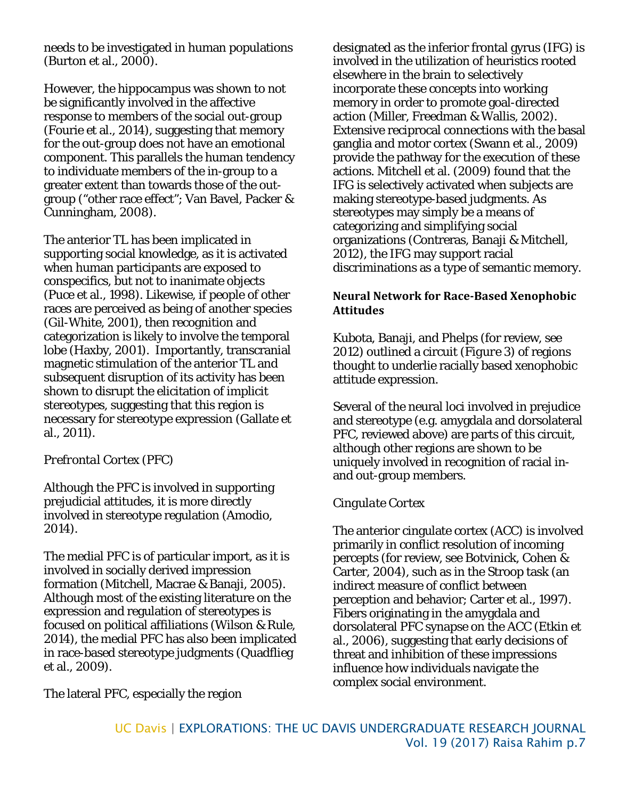needs to be investigated in human populations (Burton et al., 2000).

However, the hippocampus was shown to not be significantly involved in the affective response to members of the social out-group (Fourie et al., 2014), suggesting that memory for the out-group does not have an emotional component. This parallels the human tendency to individuate members of the in-group to a greater extent than towards those of the outgroup ("other race effect"; Van Bavel, Packer & Cunningham, 2008).

The anterior TL has been implicated in supporting social knowledge, as it is activated when human participants are exposed to conspecifics, but not to inanimate objects (Puce et al., 1998). Likewise, if people of other races are perceived as being of another species (Gil-White, 2001), then recognition and categorization is likely to involve the temporal lobe (Haxby, 2001). Importantly, transcranial magnetic stimulation of the anterior TL and subsequent disruption of its activity has been shown to disrupt the elicitation of implicit stereotypes, suggesting that this region is necessary for stereotype expression (Gallate et al., 2011).

### *Prefrontal Cortex (PFC)*

Although the PFC is involved in supporting prejudicial attitudes, it is more directly involved in stereotype regulation (Amodio, 2014).

The medial PFC is of particular import, as it is involved in socially derived impression formation (Mitchell, Macrae & Banaji, 2005). Although most of the existing literature on the expression and regulation of stereotypes is focused on political affiliations (Wilson & Rule, 2014), the medial PFC has also been implicated in race-based stereotype judgments (Quadflieg et al., 2009).

designated as the inferior frontal gyrus (IFG) is involved in the utilization of heuristics rooted elsewhere in the brain to selectively incorporate these concepts into working memory in order to promote goal-directed action (Miller, Freedman & Wallis, 2002). Extensive reciprocal connections with the basal ganglia and motor cortex (Swann et al., 2009) provide the pathway for the execution of these actions. Mitchell et al. (2009) found that the IFG is selectively activated when subjects are making stereotype-based judgments. As stereotypes may simply be a means of categorizing and simplifying social organizations (Contreras, Banaji & Mitchell, 2012), the IFG may support racial discriminations as a type of semantic memory.

#### **Neural Network for Race-Based Xenophobic Attitudes**

Kubota, Banaji, and Phelps (for review, see 2012) outlined a circuit (*Figure 3*) of regions thought to underlie racially based xenophobic attitude expression.

Several of the neural loci involved in prejudice and stereotype (e.g. amygdala and dorsolateral PFC, reviewed above) are parts of this circuit, although other regions are shown to be uniquely involved in recognition of racial inand out-group members.

### *Cingulate Cortex*

The anterior cingulate cortex (ACC) is involved primarily in conflict resolution of incoming percepts (for review, see Botvinick, Cohen & Carter, 2004), such as in the Stroop task (an indirect measure of conflict between perception and behavior; Carter et al., 1997). Fibers originating in the amygdala and dorsolateral PFC synapse on the ACC (Etkin et al., 2006), suggesting that early decisions of threat and inhibition of these impressions influence how individuals navigate the complex social environment.

The lateral PFC, especially the region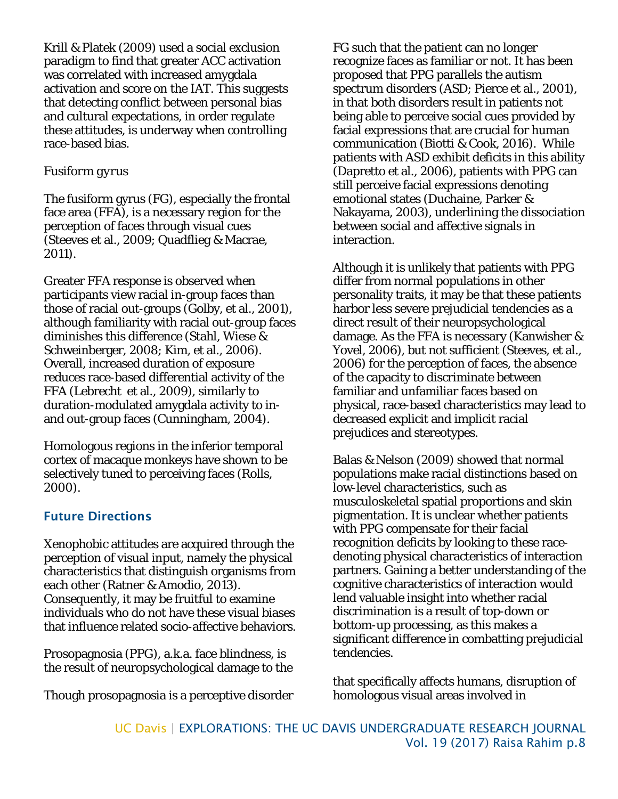Krill & Platek (2009) used a social exclusion paradigm to find that greater ACC activation was correlated with increased amygdala activation and score on the IAT. This suggests that detecting conflict between personal bias and cultural expectations, in order regulate these attitudes, is underway when controlling race-based bias.

#### *Fusiform gyrus*

The fusiform gyrus (FG), especially the frontal face area (FFA), is a necessary region for the perception of faces through visual cues (Steeves et al., 2009; Quadflieg & Macrae, 2011).

Greater FFA response is observed when participants view racial in-group faces than those of racial out-groups (Golby, et al., 2001), although familiarity with racial out-group faces diminishes this difference (Stahl, Wiese & Schweinberger, 2008; Kim, et al., 2006). Overall, increased duration of exposure reduces race-based differential activity of the FFA (Lebrecht et al., 2009), similarly to duration-modulated amygdala activity to inand out-group faces (Cunningham, 2004).

Homologous regions in the inferior temporal cortex of macaque monkeys have shown to be selectively tuned to perceiving faces (Rolls, 2000).

# Future Directions

Xenophobic attitudes are acquired through the perception of visual input, namely the physical characteristics that distinguish organisms from each other (Ratner & Amodio, 2013). Consequently, it may be fruitful to examine individuals who do not have these visual biases that influence related socio-affective behaviors.

Prosopagnosia (PPG), a.k.a. face blindness, is the result of neuropsychological damage to the

Though prosopagnosia is a perceptive disorder

FG such that the patient can no longer recognize faces as familiar or not. It has been proposed that PPG parallels the autism spectrum disorders (ASD; Pierce et al., 2001), in that both disorders result in patients not being able to perceive social cues provided by facial expressions that are crucial for human communication (Biotti & Cook, 2016). While patients with ASD exhibit deficits in this ability (Dapretto et al., 2006), patients with PPG can still perceive facial expressions denoting emotional states (Duchaine, Parker & Nakayama, 2003), underlining the dissociation between social and affective signals in interaction.

Although it is unlikely that patients with PPG differ from normal populations in other personality traits, it may be that these patients harbor less severe prejudicial tendencies as a direct result of their neuropsychological damage. As the FFA is necessary (Kanwisher & Yovel, 2006), but not sufficient (Steeves, et al., 2006) for the perception of faces, the absence of the capacity to discriminate between familiar and unfamiliar faces based on physical, race-based characteristics may lead to decreased explicit and implicit racial prejudices and stereotypes.

Balas & Nelson (2009) showed that normal populations make racial distinctions based on low-level characteristics, such as musculoskeletal spatial proportions and skin pigmentation. It is unclear whether patients with PPG compensate for their facial recognition deficits by looking to these racedenoting physical characteristics of interaction partners. Gaining a better understanding of the cognitive characteristics of interaction would lend valuable insight into whether racial discrimination is a result of top-down or bottom-up processing, as this makes a significant difference in combatting prejudicial tendencies.

that specifically affects humans, disruption of homologous visual areas involved in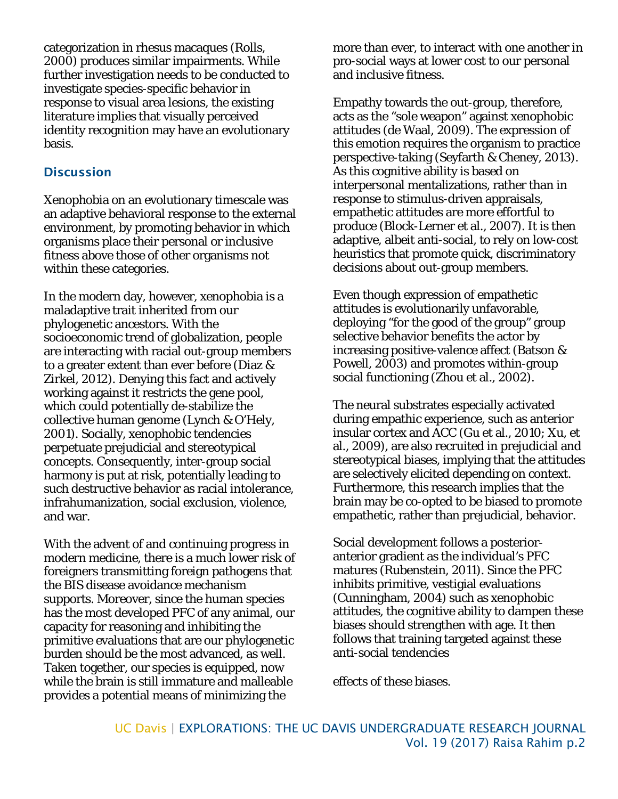categorization in rhesus macaques (Rolls, 2000) produces similar impairments. While further investigation needs to be conducted to investigate species-specific behavior in response to visual area lesions, the existing literature implies that visually perceived identity recognition may have an evolutionary basis.

### **Discussion**

Xenophobia on an evolutionary timescale was an adaptive behavioral response to the external environment, by promoting behavior in which organisms place their personal or inclusive fitness above those of other organisms not within these categories.

In the modern day, however, xenophobia is a maladaptive trait inherited from our phylogenetic ancestors. With the socioeconomic trend of globalization, people are interacting with racial out-group members to a greater extent than ever before (Diaz & Zirkel, 2012). Denying this fact and actively working against it restricts the gene pool, which could potentially de-stabilize the collective human genome (Lynch & O'Hely, 2001). Socially, xenophobic tendencies perpetuate prejudicial and stereotypical concepts. Consequently, inter-group social harmony is put at risk, potentially leading to such destructive behavior as racial intolerance, infrahumanization, social exclusion, violence, and war.

With the advent of and continuing progress in modern medicine, there is a much lower risk of foreigners transmitting foreign pathogens that the BIS disease avoidance mechanism supports. Moreover, since the human species has the most developed PFC of any animal, our capacity for reasoning and inhibiting the primitive evaluations that are our phylogenetic burden should be the most advanced, as well. Taken together, our species is equipped, now while the brain is still immature and malleable provides a potential means of minimizing the

more than ever, to interact with one another in pro-social ways at lower cost to our personal and inclusive fitness.

Empathy towards the out-group, therefore, acts as the "sole weapon" against xenophobic attitudes (de Waal, 2009). The expression of this emotion requires the organism to practice perspective-taking (Seyfarth & Cheney, 2013). As this cognitive ability is based on interpersonal mentalizations, rather than in response to stimulus-driven appraisals, empathetic attitudes are more effortful to produce (Block-Lerner et al., 2007). It is then adaptive, albeit anti-social, to rely on low-cost heuristics that promote quick, discriminatory decisions about out-group members.

Even though expression of empathetic attitudes is evolutionarily unfavorable, deploying "for the good of the group" group selective behavior benefits the actor by increasing positive-valence affect (Batson & Powell, 2003) and promotes within-group social functioning (Zhou et al., 2002).

The neural substrates especially activated during empathic experience, such as anterior insular cortex and ACC (Gu et al., 2010; Xu, et al., 2009), are also recruited in prejudicial and stereotypical biases, implying that the attitudes are selectively elicited depending on context. Furthermore, this research implies that the brain may be co-opted to be biased to promote empathetic, rather than prejudicial, behavior.

Social development follows a posterioranterior gradient as the individual's PFC matures (Rubenstein, 2011). Since the PFC inhibits primitive, vestigial evaluations (Cunningham, 2004) such as xenophobic attitudes, the cognitive ability to dampen these biases should strengthen with age. It then follows that training targeted against these anti-social tendencies

effects of these biases.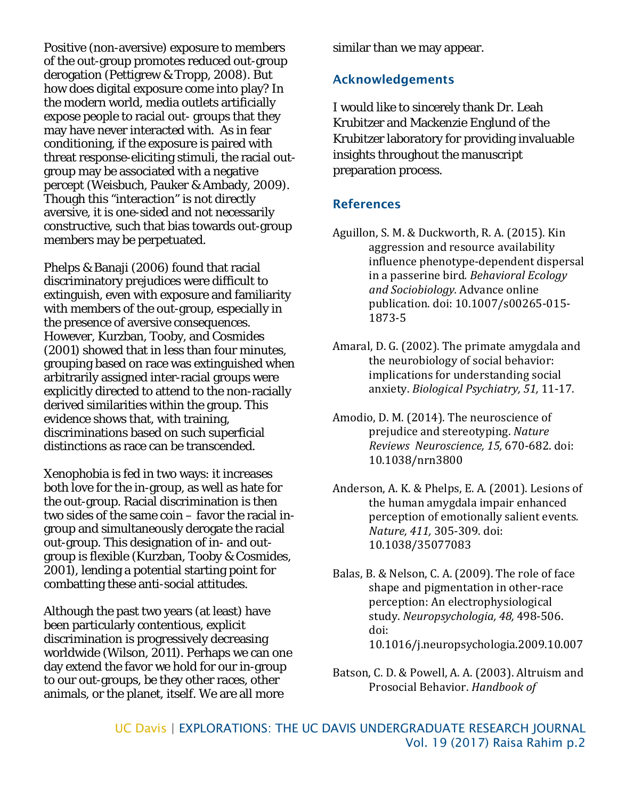Positive (non-aversive) exposure to members of the out-group promotes reduced out-group derogation (Pettigrew & Tropp, 2008). But how does digital exposure come into play? In the modern world, media outlets artificially expose people to racial out- groups that they may have never interacted with. As in fear conditioning, if the exposure is paired with threat response-eliciting stimuli, the racial outgroup may be associated with a negative percept (Weisbuch, Pauker & Ambady, 2009). Though this "interaction" is not directly aversive, it is one-sided and not necessarily constructive, such that bias towards out-group members may be perpetuated.

Phelps & Banaji (2006) found that racial discriminatory prejudices were difficult to extinguish, even with exposure and familiarity with members of the out-group, especially in the presence of aversive consequences. However, Kurzban, Tooby, and Cosmides (2001) showed that in less than four minutes, grouping based on race was extinguished when arbitrarily assigned inter-racial groups were explicitly directed to attend to the non-racially derived similarities within the group. This evidence shows that, with training, discriminations based on such superficial distinctions as race can be transcended.

Xenophobia is fed in two ways: it increases both love for the in-group, as well as hate for the out-group. Racial discrimination is then two sides of the same coin – favor the racial ingroup and simultaneously derogate the racial out-group. This designation of in- and outgroup is flexible (Kurzban, Tooby & Cosmides, 2001), lending a potential starting point for combatting these anti-social attitudes.

Although the past two years (at least) have been particularly contentious, explicit discrimination is progressively decreasing worldwide (Wilson, 2011). Perhaps we can one day extend the favor we hold for our in-group to our out-groups, be they other races, other animals, or the planet, itself. We are all more

similar than we may appear.

### Acknowledgements

I would like to sincerely thank Dr. Leah Krubitzer and Mackenzie Englund of the Krubitzer laboratory for providing invaluable insights throughout the manuscript preparation process.

#### References

- Aguillon, S. M. & Duckworth, R. A. (2015). Kin aggression and resource availability influence phenotype-dependent dispersal in a passerine bird*. Behavioral Ecology and Sociobiology.* Advance online publication. doi: 10.1007/s00265-015- 1873-5
- Amaral, D. G. (2002). The primate amygdala and the neurobiology of social behavior: implications for understanding social anxiety. *Biological Psychiatry, 51,* 11-17.
- Amodio, D. M. (2014). The neuroscience of prejudice and stereotyping. *Nature Reviews Neuroscience, 15,* 670-682. doi: 10.1038/nrn3800
- Anderson, A. K. & Phelps, E. A. (2001). Lesions of the human amygdala impair enhanced perception of emotionally salient events*. Nature, 411,* 305-309. doi: 10.1038/35077083
- Balas, B. & Nelson, C. A. (2009). The role of face shape and pigmentation in other-race perception: An electrophysiological study. *Neuropsychologia, 48,* 498-506. doi: 10.1016/j.neuropsychologia.2009.10.007
- Batson, C. D. & Powell, A. A. (2003). Altruism and Prosocial Behavior. *Handbook of*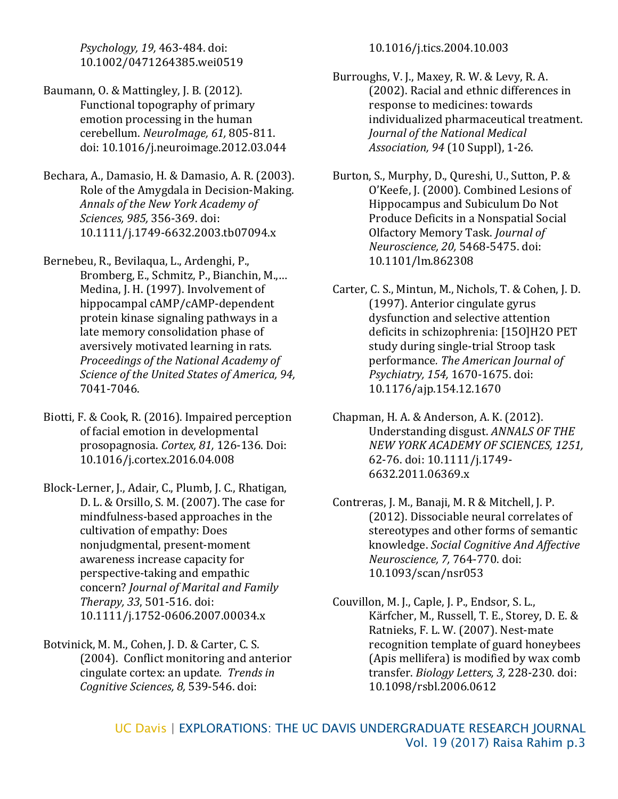*Psychology, 19,* 463-484. doi: 10.1002/0471264385.wei0519

- Baumann, O. & Mattingley, J. B. (2012). Functional topography of primary emotion processing in the human cerebellum. *NeuroImage, 61,* 805-811. doi: 10.1016/j.neuroimage.2012.03.044
- Bechara, A., Damasio, H. & Damasio, A. R. (2003). Role of the Amygdala in Decision-Making. *Annals of the New York Academy of Sciences, 985,* 356-369. doi: 10.1111/j.1749-6632.2003.tb07094.x
- Bernebeu, R., Bevilaqua, L., Ardenghi, P., Bromberg, E., Schmitz, P., Bianchin, M.,… Medina, J. H. (1997). Involvement of hippocampal cAMP/cAMP-dependent protein kinase signaling pathways in a late memory consolidation phase of aversively motivated learning in rats. *Proceedings of the National Academy of Science of the United States of America, 94,*  7041-7046.
- Biotti, F. & Cook, R. (2016). Impaired perception of facial emotion in developmental prosopagnosia. *Cortex, 81,* 126-136. Doi: 10.1016/j.cortex.2016.04.008
- Block-Lerner, J., Adair, C., Plumb, J. C., Rhatigan, D. L. & Orsillo, S. M. (2007). The case for mindfulness-based approaches in the cultivation of empathy: Does nonjudgmental, present-moment awareness increase capacity for perspective-taking and empathic concern? *Journal of Marital and Family Therapy, 33*, 501-516. doi: 10.1111/j.1752-0606.2007.00034.x
- Botvinick, M. M., Cohen, J. D. & Carter, C. S. (2004). Conflict monitoring and anterior cingulate cortex: an update*. Trends in Cognitive Sciences, 8,* 539-546. doi:

10.1016/j.tics.2004.10.003

- Burroughs, V. J., Maxey, R. W. & Levy, R. A. (2002). Racial and ethnic differences in response to medicines: towards individualized pharmaceutical treatment. *Journal of the National Medical Association, 94* (10 Suppl), 1-26.
- Burton, S., Murphy, D., Qureshi, U., Sutton, P. & O'Keefe, J. (2000). Combined Lesions of Hippocampus and Subiculum Do Not Produce Deficits in a Nonspatial Social Olfactory Memory Task. *Journal of Neuroscience, 20,* 5468-5475. doi: 10.1101/lm.862308
- Carter, C. S., Mintun, M., Nichols, T. & Cohen, J. D. (1997). Anterior cingulate gyrus dysfunction and selective attention deficits in schizophrenia: [15O]H2O PET study during single-trial Stroop task performance*. The American Journal of Psychiatry, 154,* 1670-1675. doi: 10.1176/ajp.154.12.1670
- Chapman, H. A. & Anderson, A. K. (2012). Understanding disgust. *ANNALS OF THE NEW YORK ACADEMY OF SCIENCES, 1251,* 62-76. doi: 10.1111/j.1749- 6632.2011.06369.x
- Contreras, J. M., Banaji, M. R & Mitchell, J. P. (2012). Dissociable neural correlates of stereotypes and other forms of semantic knowledge. *Social Cognitive And Affective Neuroscience, 7,* 764-770. doi: 10.1093/scan/nsr053
- Couvillon, M. J., Caple, J. P., Endsor, S. L., Kärfcher, M., Russell, T. E., Storey, D. E. & Ratnieks, F. L. W. (2007). Nest-mate recognition template of guard honeybees (Apis mellifera) is modified by wax comb transfer. *Biology Letters, 3,* 228-230. doi: 10.1098/rsbl.2006.0612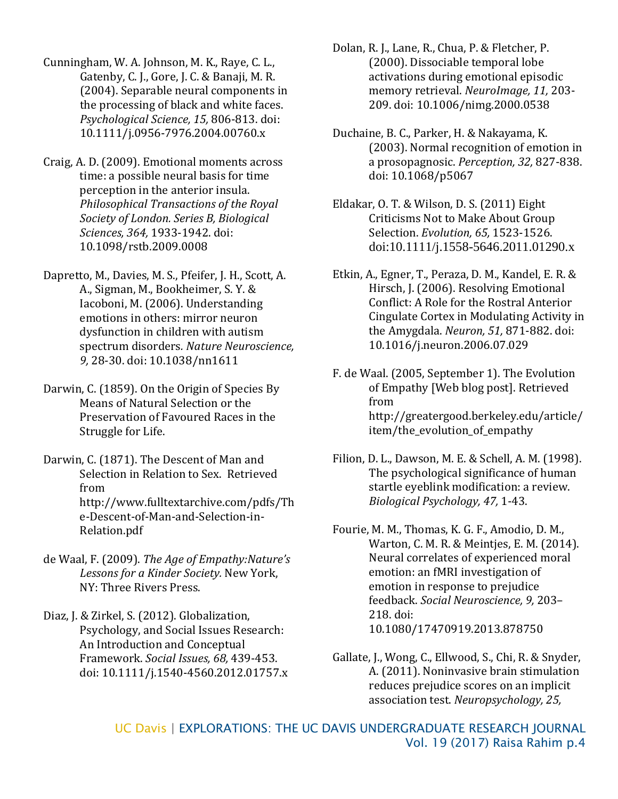Cunningham, W. A. Johnson, M. K., Raye, C. L., Gatenby, C. J., Gore, J. C. & Banaji, M. R. (2004). Separable neural components in the processing of black and white faces. *Psychological Science, 15,* 806-813. doi: 10.1111/j.0956-7976.2004.00760.x

Craig, A. D. (2009). Emotional moments across time: a possible neural basis for time perception in the anterior insula. *Philosophical Transactions of the Royal Society of London. Series B, Biological Sciences, 364,* 1933-1942. doi: 10.1098/rstb.2009.0008

Dapretto, M., Davies, M. S., Pfeifer, J. H., Scott, A. A., Sigman, M., Bookheimer, S. Y. & Iacoboni, M. (2006). Understanding emotions in others: mirror neuron dysfunction in children with autism spectrum disorders*. Nature Neuroscience, 9,* 28-30. doi: 10.1038/nn1611

Darwin, C. (1859). On the Origin of Species By Means of Natural Selection or the Preservation of Favoured Races in the Struggle for Life.

Darwin, C. (1871). The Descent of Man and Selection in Relation to Sex. Retrieved from http://www.fulltextarchive.com/pdfs/Th e-Descent-of-Man-and-Selection-in-Relation.pdf

de Waal, F. (2009). *The Age of Empathy:Nature's Lessons for a Kinder Society.* New York, NY: Three Rivers Press.

Diaz, J. & Zirkel, S. (2012). Globalization, Psychology, and Social Issues Research: An Introduction and Conceptual Framework. *Social Issues, 68,* 439-453. doi: 10.1111/j.1540-4560.2012.01757.x Dolan, R. J., Lane, R., Chua, P. & Fletcher, P. (2000). Dissociable temporal lobe activations during emotional episodic memory retrieval. *NeuroImage, 11,* 203- 209. doi: 10.1006/nimg.2000.0538

- Duchaine, B. C., Parker, H. & Nakayama, K. (2003). Normal recognition of emotion in a prosopagnosic. *Perception, 32,* 827-838. doi: 10.1068/p5067
- Eldakar, O. T. & Wilson, D. S. (2011) Eight Criticisms Not to Make About Group Selection. *Evolution, 65,* 1523-1526. doi:10.1111/j.1558-5646.2011.01290.x
- Etkin, A., Egner, T., Peraza, D. M., Kandel, E. R. & Hirsch, J. (2006). Resolving Emotional Conflict: A Role for the Rostral Anterior Cingulate Cortex in Modulating Activity in the Amygdala. *Neuron, 51,* 871-882. doi: 10.1016/j.neuron.2006.07.029

F. de Waal. (2005, September 1). The Evolution of Empathy [Web blog post]. Retrieved from http://greatergood.berkeley.edu/article/ item/the\_evolution\_of\_empathy

- Filion, D. L., Dawson, M. E. & Schell, A. M. (1998). The psychological significance of human startle eyeblink modification: a review. *Biological Psychology, 47,* 1-43.
- Fourie, M. M., Thomas, K. G. F., Amodio, D. M., Warton, C. M. R. & Meintjes, E. M. (2014). Neural correlates of experienced moral emotion: an fMRI investigation of emotion in response to prejudice feedback. *Social Neuroscience, 9,* 203– 218. doi: 10.1080/17470919.2013.878750

Gallate, J., Wong, C., Ellwood, S., Chi, R. & Snyder, A. (2011). Noninvasive brain stimulation reduces prejudice scores on an implicit association test. *Neuropsychology, 25,*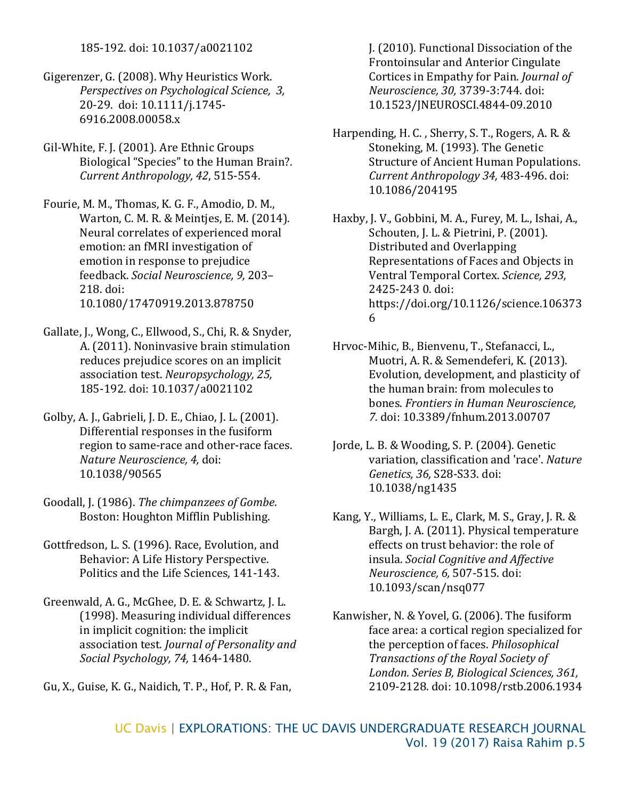185-192. doi: 10.1037/a0021102

Gigerenzer, G. (2008). Why Heuristics Work. *Perspectives on Psychological Science, 3,* 20-29. doi: 10.1111/j.1745- 6916.2008.00058.x

- Gil-White, F. J. (2001). Are Ethnic Groups Biological "Species" to the Human Brain?. *Current Anthropology, 42*, 515-554.
- Fourie, M. M., Thomas, K. G. F., Amodio, D. M., Warton, C. M. R. & Meintjes, E. M. (2014). Neural correlates of experienced moral emotion: an fMRI investigation of emotion in response to prejudice feedback. *Social Neuroscience, 9,* 203– 218. doi: 10.1080/17470919.2013.878750
- Gallate, J., Wong, C., Ellwood, S., Chi, R. & Snyder, A. (2011). Noninvasive brain stimulation reduces prejudice scores on an implicit association test. *Neuropsychology, 25,*  185-192. doi: 10.1037/a0021102
- Golby, A. J., Gabrieli, J. D. E., Chiao, J. L. (2001). Differential responses in the fusiform region to same-race and other-race faces. *Nature Neuroscience, 4,* doi: 10.1038/90565
- Goodall, J. (1986). *The chimpanzees of Gombe*. Boston: Houghton Mifflin Publishing.
- Gottfredson, L. S. (1996). Race, Evolution, and Behavior: A Life History Perspective. Politics and the Life Sciences, 141-143.
- Greenwald, A. G., McGhee, D. E. & Schwartz, J. L. (1998). Measuring individual differences in implicit cognition: the implicit association test*. Journal of Personality and Social Psychology, 74,* 1464-1480.

Gu, X., Guise, K. G., Naidich, T. P., Hof, P. R. & Fan,

J. (2010). Functional Dissociation of the Frontoinsular and Anterior Cingulate Cortices in Empathy for Pain. *Journal of Neuroscience, 30,* 3739-3:744. doi: 10.1523/JNEUROSCI.4844-09.2010

- Harpending, H. C. , Sherry, S. T., Rogers, A. R. & Stoneking, M. (1993). The Genetic Structure of Ancient Human Populations. *Current Anthropology 34,* 483-496. doi: 10.1086/204195
- Haxby, J. V., Gobbini, M. A., Furey, M. L., Ishai, A., Schouten, J. L. & Pietrini, P. (2001). Distributed and Overlapping Representations of Faces and Objects in Ventral Temporal Cortex. *Science, 293,*  2425-243 0. doi: https://doi.org/10.1126/science.106373 6
- Hrvoc-Mihic, B., Bienvenu, T., Stefanacci, L., Muotri, A. R. & Semendeferi, K. (2013). Evolution, development, and plasticity of the human brain: from molecules to bones. *Frontiers in Human Neuroscience, 7.* doi: 10.3389/fnhum.2013.00707
- Jorde, L. B. & Wooding, S. P. (2004). Genetic variation, classification and 'race'. *Nature Genetics, 36,* S28-S33. doi: 10.1038/ng1435
- Kang, Y., Williams, L. E., Clark, M. S., Gray, J. R. & Bargh, J. A. (2011). Physical temperature effects on trust behavior: the role of insula. *Social Cognitive and Affective Neuroscience, 6,* 507-515. doi: 10.1093/scan/nsq077
- Kanwisher, N. & Yovel, G. (2006). The fusiform face area: a cortical region specialized for the perception of faces. *Philosophical Transactions of the Royal Society of London. Series B, Biological Sciences, 361,* 2109-2128. doi: 10.1098/rstb.2006.1934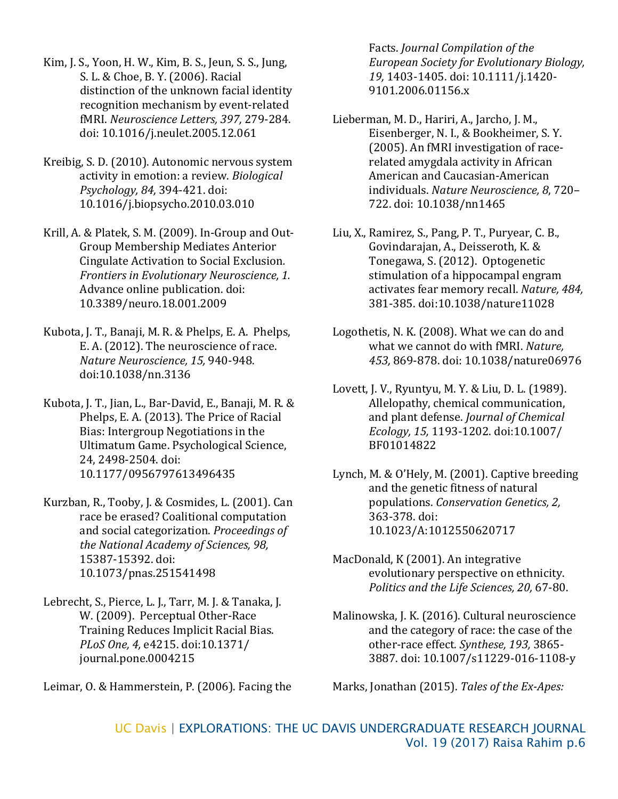Kim, J. S., Yoon, H. W., Kim, B. S., Jeun, S. S., Jung, S. L. & Choe, B. Y. (2006). Racial distinction of the unknown facial identity recognition mechanism by event-related fMRI. *Neuroscience Letters, 397,* 279-284. doi: 10.1016/j.neulet.2005.12.061

Kreibig, S. D. (2010). Autonomic nervous system activity in emotion: a review. *Biological Psychology, 84,* 394-421. doi: 10.1016/j.biopsycho.2010.03.010

Krill, A. & Platek, S. M. (2009). In-Group and Out-Group Membership Mediates Anterior Cingulate Activation to Social Exclusion*. Frontiers in Evolutionary Neuroscience, 1.* Advance online publication. doi: 10.3389/neuro.18.001.2009

Kubota, J. T., Banaji, M. R. & Phelps, E. A. Phelps, E. A. (2012). The neuroscience of race. *Nature Neuroscience, 15,* 940-948. doi:10.1038/nn.3136

Kubota, J. T., Jian, L., Bar-David, E., Banaji, M. R. & Phelps, E. A. (2013). The Price of Racial Bias: Intergroup Negotiations in the Ultimatum Game. Psychological Science, 24, 2498-2504. doi: 10.1177/0956797613496435

Kurzban, R., Tooby, J. & Cosmides, L. (2001). Can race be erased? Coalitional computation and social categorization. *Proceedings of the National Academy of Sciences, 98,* 15387-15392. doi: 10.1073/pnas.251541498

Lebrecht, S., Pierce, L. J., Tarr, M. J. & Tanaka, J. W. (2009). Perceptual Other-Race Training Reduces Implicit Racial Bias. *PLoS One, 4,* e4215. doi:10.1371/ journal.pone.0004215

Leimar, O. & Hammerstein, P. (2006). Facing the

Facts. *Journal Compilation of the European Society for Evolutionary Biology, 19,* 1403-1405. doi: 10.1111/j.1420- 9101.2006.01156.x

- Lieberman, M. D., Hariri, A., Jarcho, J. M., Eisenberger, N. I., & Bookheimer, S. Y. (2005). An fMRI investigation of racerelated amygdala activity in African American and Caucasian-American individuals. *Nature Neuroscience, 8*, 720– 722. doi: 10.1038/nn1465
- Liu, X., Ramirez, S., Pang, P. T., Puryear, C. B., Govindarajan, A., Deisseroth, K. & Tonegawa, S. (2012). Optogenetic stimulation of a hippocampal engram activates fear memory recall. *Nature, 484,* 381-385. doi:10.1038/nature11028
- Logothetis, N. K. (2008). What we can do and what we cannot do with fMRI. *Nature, 453,* 869-878. doi: 10.1038/nature06976
- Lovett, J. V., Ryuntyu, M. Y. & Liu, D. L. (1989). Allelopathy, chemical communication, and plant defense. *Journal of Chemical Ecology, 15,* 1193-1202. doi:10.1007/ BF01014822
- Lynch, M. & O'Hely, M. (2001). Captive breeding and the genetic fitness of natural populations. *Conservation Genetics, 2,* 363-378. doi: 10.1023/A:1012550620717
- MacDonald, K (2001). An integrative evolutionary perspective on ethnicity. *Politics and the Life Sciences, 20,* 67-80.

Malinowska, J. K. (2016). Cultural neuroscience and the category of race: the case of the other-race effect*. Synthese, 193,* 3865- 3887. doi: 10.1007/s11229-016-1108-y

Marks, Jonathan (2015). *Tales of the Ex-Apes:*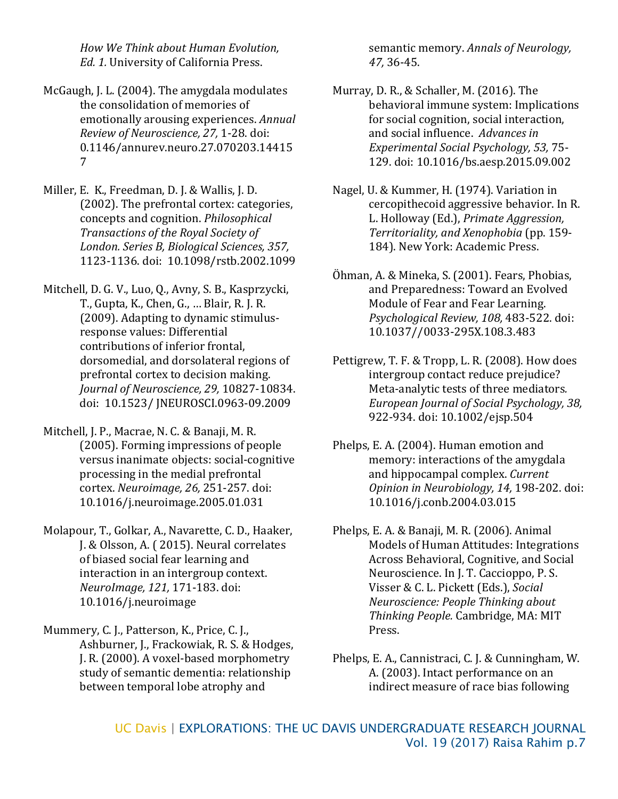*How We Think about Human Evolution, Ed. 1.* University of California Press.

- McGaugh, J. L. (2004). The amygdala modulates the consolidation of memories of emotionally arousing experiences. *Annual Review of Neuroscience, 27,* 1-28. doi: 0.1146/annurev.neuro.27.070203.14415 7
- Miller, E. K., Freedman, D. J. & Wallis, J. D. (2002). The prefrontal cortex: categories, concepts and cognition. *Philosophical Transactions of the Royal Society of London. Series B, Biological Sciences, 357,* 1123-1136. doi: 10.1098/rstb.2002.1099
- Mitchell, D. G. V., Luo, Q., Avny, S. B., Kasprzycki, T., Gupta, K., Chen, G., … Blair, R. J. R. (2009). Adapting to dynamic stimulusresponse values: Differential contributions of inferior frontal, dorsomedial, and dorsolateral regions of prefrontal cortex to decision making. *Journal of Neuroscience, 29,* 10827-10834. doi: 10.1523/ JNEUROSCI.0963-09.2009
- Mitchell, J. P., Macrae, N. C. & Banaji, M. R. (2005). Forming impressions of people versus inanimate objects: social-cognitive processing in the medial prefrontal cortex. *Neuroimage, 26,* 251-257. doi: 10.1016/j.neuroimage.2005.01.031
- Molapour, T., Golkar, A., Navarette, C. D., Haaker, J. & Olsson, A. ( 2015). Neural correlates of biased social fear learning and interaction in an intergroup context. *NeuroImage, 121,* 171-183. doi: 10.1016/j.neuroimage
- Mummery, C. J., Patterson, K., Price, C. J., Ashburner, J., Frackowiak, R. S. & Hodges, J. R. (2000). A voxel-based morphometry study of semantic dementia: relationship between temporal lobe atrophy and

semantic memory. *Annals of Neurology, 47,* 36-45.

- Murray, D. R., & Schaller, M. (2016). The behavioral immune system: Implications for social cognition, social interaction, and social influence. *Advances in Experimental Social Psychology, 53,* 75- 129. doi: 10.1016/bs.aesp.2015.09.002
- Nagel, U. & Kummer, H. (1974). Variation in cercopithecoid aggressive behavior. In R. L. Holloway (Ed.), *Primate Aggression, Territoriality, and Xenophobia* (pp. 159- 184). New York: Academic Press.
- Öhman, A. & Mineka, S. (2001). Fears, Phobias, and Preparedness: Toward an Evolved Module of Fear and Fear Learning. *Psychological Review, 108,* 483-522. doi: 10.1037//0033-295X.108.3.483
- Pettigrew, T. F. & Tropp, L. R. (2008). How does intergroup contact reduce prejudice? Meta-analytic tests of three mediators*. European Journal of Social Psychology, 38,* 922-934. doi: 10.1002/ejsp.504
- Phelps, E. A. (2004). Human emotion and memory: interactions of the amygdala and hippocampal complex. *Current Opinion in Neurobiology, 14,* 198-202. doi: 10.1016/j.conb.2004.03.015
- Phelps, E. A. & Banaji, M. R. (2006). Animal Models of Human Attitudes: Integrations Across Behavioral, Cognitive, and Social Neuroscience. In J. T. Caccioppo, P. S. Visser & C. L. Pickett (Eds.), *Social Neuroscience: People Thinking about Thinking People.* Cambridge, MA: MIT Press.
- Phelps, E. A., Cannistraci, C. J. & Cunningham, W. A. (2003). Intact performance on an indirect measure of race bias following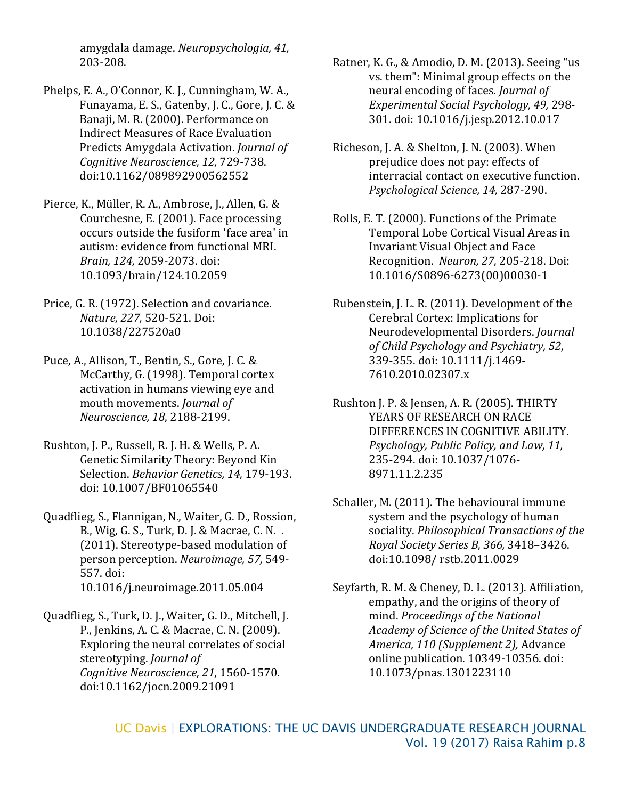amygdala damage. *Neuropsychologia, 41,* 203-208.

- Phelps, E. A., O'Connor, K. J., Cunningham, W. A., Funayama, E. S., Gatenby, J. C., Gore, J. C. & Banaji, M. R. (2000). Performance on Indirect Measures of Race Evaluation Predicts Amygdala Activation. *Journal of Cognitive Neuroscience, 12,* 729-738. doi:10.1162/089892900562552
- Pierce, K., Müller, R. A., Ambrose, J., Allen, G. & Courchesne, E. (2001). Face processing occurs outside the fusiform 'face area' in autism: evidence from functional MRI. *Brain, 124,* 2059-2073. doi: 10.1093/brain/124.10.2059
- Price, G. R. (1972). Selection and covariance. *Nature, 227,* 520-521. Doi: 10.1038/227520a0
- Puce, A., Allison, T., Bentin, S., Gore, J. C. & McCarthy, G. (1998). Temporal cortex activation in humans viewing eye and mouth movements. *Journal of Neuroscience, 18*, 2188-2199.
- Rushton, J. P., Russell, R. J. H. & Wells, P. A. Genetic Similarity Theory: Beyond Kin Selection. *Behavior Genetics, 14,* 179-193. doi: 10.1007/BF01065540
- Quadflieg, S., Flannigan, N., Waiter, G. D., Rossion, B., Wig, G. S., Turk, D. J. & Macrae, C. N. . (2011). Stereotype-based modulation of person perception. *Neuroimage, 57,* 549- 557. doi: 10.1016/j.neuroimage.2011.05.004
- Quadflieg, S., Turk, D. J., Waiter, G. D., Mitchell, J. P., Jenkins, A. C. & Macrae, C. N. (2009). Exploring the neural correlates of social stereotyping. *Journal of Cognitive Neuroscience, 21,* 1560-1570. doi:10.1162/jocn.2009.21091
- Ratner, K. G., & Amodio, D. M. (2013). Seeing "us vs. them": Minimal group effects on the neural encoding of faces*. Journal of Experimental Social Psychology, 49,* 298- 301. doi: 10.1016/j.jesp.2012.10.017
- Richeson, J. A. & Shelton, J. N. (2003). When prejudice does not pay: effects of interracial contact on executive function. *Psychological Science, 14,* 287-290.
- Rolls, E. T. (2000). Functions of the Primate Temporal Lobe Cortical Visual Areas in Invariant Visual Object and Face Recognition. *Neuron, 27,* 205-218. Doi: 10.1016/S0896-6273(00)00030-1
- Rubenstein, J. L. R. (2011). Development of the Cerebral Cortex: Implications for Neurodevelopmental Disorders. *Journal of Child Psychology and Psychiatry, 52*, 339-355. doi: 10.1111/j.1469- 7610.2010.02307.x
- Rushton J. P. & Jensen, A. R. (2005). THIRTY YEARS OF RESEARCH ON RACE DIFFERENCES IN COGNITIVE ABILITY. *Psychology, Public Policy, and Law, 11,* 235-294. doi: 10.1037/1076- 8971.11.2.235
- Schaller, M. (2011). The behavioural immune system and the psychology of human sociality. *Philosophical Transactions of the Royal Society Series B, 366,* 3418–3426. doi:10.1098/ rstb.2011.0029
- Seyfarth, R. M. & Cheney, D. L. (2013). Affiliation, empathy, and the origins of theory of mind. *Proceedings of the National Academy of Science of the United States of America, 110 (Supplement 2),* Advance online publication. 10349-10356. doi: 10.1073/pnas.1301223110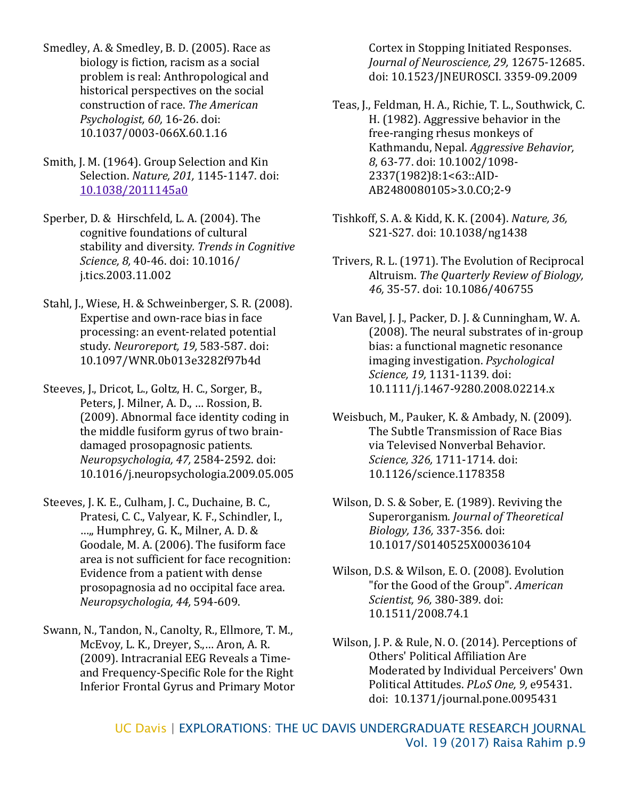- Smedley, A. & Smedley, B. D. (2005). Race as biology is fiction, racism as a social problem is real: Anthropological and historical perspectives on the social construction of race. *The American Psychologist, 60,* 16-26. doi: 10.1037/0003-066X.60.1.16
- Smith, J. M. (1964). Group Selection and Kin Selection. *Nature, 201,* 1145-1147. doi: [10.1038/2011145a0](http://dx.doi.org/10.1038/2011145a0)
- Sperber, D. & Hirschfeld, L. A. (2004). The cognitive foundations of cultural stability and diversity*. Trends in Cognitive Science, 8,* 40-46. doi: 10.1016/ j.tics.2003.11.002
- Stahl, J., Wiese, H. & Schweinberger, S. R. (2008). Expertise and own-race bias in face processing: an event-related potential study. *Neuroreport, 19,* 583-587. doi: 10.1097/WNR.0b013e3282f97b4d
- Steeves, J., Dricot, L., Goltz, H. C., Sorger, B., Peters, J. Milner, A. D., … Rossion, B. (2009). Abnormal face identity coding in the middle fusiform gyrus of two braindamaged prosopagnosic patients. *Neuropsychologia, 47,* 2584-2592. doi: 10.1016/j.neuropsychologia.2009.05.005
- Steeves, J. K. E., Culham, J. C., Duchaine, B. C., Pratesi, C. C., Valyear, K. F., Schindler, I., …,, Humphrey, G. K., Milner, A. D. & Goodale, M. A. (2006). The fusiform face area is not sufficient for face recognition: Evidence from a patient with dense prosopagnosia ad no occipital face area. *Neuropsychologia, 44,* 594-609.
- Swann, N., Tandon, N., Canolty, R., Ellmore, T. M., McEvoy, L. K., Dreyer, S.,… Aron, A. R. (2009). Intracranial EEG Reveals a Timeand Frequency-Specific Role for the Right Inferior Frontal Gyrus and Primary Motor

Cortex in Stopping Initiated Responses. *Journal of Neuroscience, 29,* 12675-12685. doi: 10.1523/JNEUROSCI. 3359-09.2009

- Teas, J., Feldman, H. A., Richie, T. L., Southwick, C. H. (1982). Aggressive behavior in the free-ranging rhesus monkeys of Kathmandu, Nepal. *Aggressive Behavior, 8*, 63-77. doi: 10.1002/1098- 2337(1982)8:1<63::AID-AB2480080105>3.0.CO;2-9
- Tishkoff, S. A. & Kidd, K. K. (2004). *Nature, 36,* S21-S27. doi: 10.1038/ng1438
- Trivers, R. L. (1971). The Evolution of Reciprocal Altruism. *The Quarterly Review of Biology, 46,* 35-57. doi: 10.1086/406755
- Van Bavel, J. J., Packer, D. J. & Cunningham, W. A. (2008). The neural substrates of in-group bias: a functional magnetic resonance imaging investigation. *Psychological Science, 19,* 1131-1139. doi: 10.1111/j.1467-9280.2008.02214.x
- Weisbuch, M., Pauker, K. & Ambady, N. (2009). The Subtle Transmission of Race Bias via Televised Nonverbal Behavior. *Science, 326,* 1711-1714. doi: 10.1126/science.1178358
- Wilson, D. S. & Sober, E. (1989). Reviving the Superorganism*. Journal of Theoretical Biology, 136,* 337-356. doi: 10.1017/S0140525X00036104
- Wilson, D.S. & Wilson, E. O. (2008). Evolution "for the Good of the Group". *American Scientist, 96,* 380-389. doi: 10.1511/2008.74.1
- Wilson, J. P. & Rule, N. O. (2014). Perceptions of Others' Political Affiliation Are Moderated by Individual Perceivers' Own Political Attitudes. *PLoS One, 9,* e95431. doi: 10.1371/journal.pone.0095431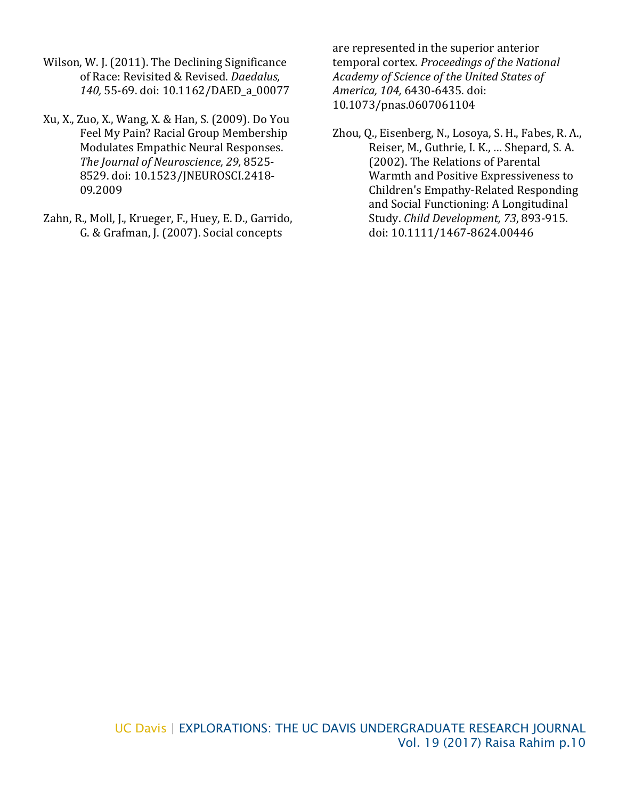- Wilson, W. J. (2011). The Declining Significance of Race: Revisited & Revised. *Daedalus, 140,* 55-69. doi: 10.1162/DAED\_a\_00077
- Xu, X., Zuo, X., Wang, X. & Han, S. (2009). Do You Feel My Pain? Racial Group Membership Modulates Empathic Neural Responses. *The Journal of Neuroscience, 29,* 8525- 8529. doi: 10.1523/JNEUROSCI.2418- 09.2009
- Zahn, R., Moll, J., Krueger, F., Huey, E. D., Garrido, G. & Grafman, J. (2007). Social concepts

are represented in the superior anterior temporal cortex. *Proceedings of the National Academy of Science of the United States of America, 104,* 6430-6435. doi: 10.1073/pnas.0607061104

Zhou, Q., Eisenberg, N., Losoya, S. H., Fabes, R. A., Reiser, M., Guthrie, I. K., … Shepard, S. A. (2002). The Relations of Parental Warmth and Positive Expressiveness to Children's Empathy-Related Responding and Social Functioning: A Longitudinal Study. *Child Development, 73*, 893-915. doi: 10.1111/1467-8624.00446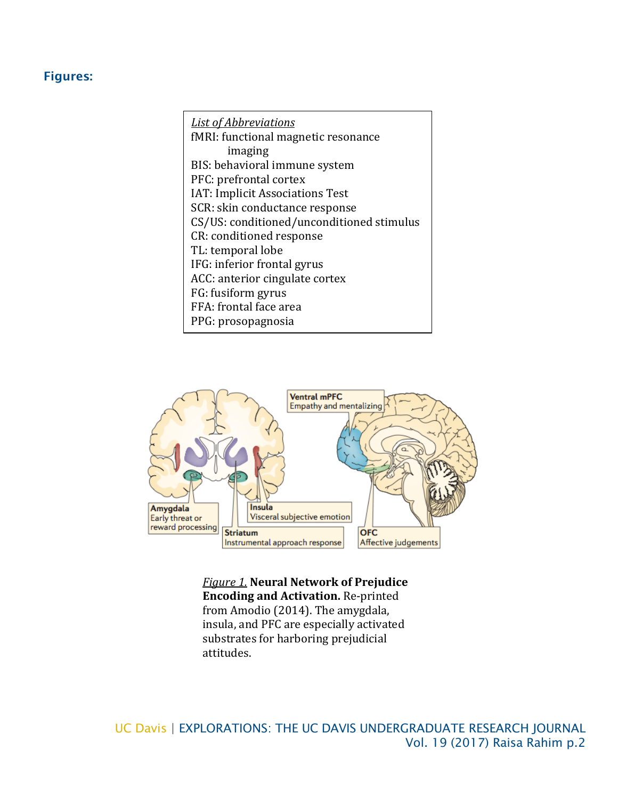## Figures:

*List of Abbreviations* fMRI: functional magnetic resonance imaging BIS: behavioral immune system PFC: prefrontal cortex IAT: Implicit Associations Test SCR: skin conductance response CS/US: conditioned/unconditioned stimulus CR: conditioned response TL: temporal lobe IFG: inferior frontal gyrus ACC: anterior cingulate cortex FG: fusiform gyrus FFA: frontal face area PPG: prosopagnosia

٦



*Figure 1.* **Neural Network of Prejudice Encoding and Activation.** Re-printed from Amodio (2014). The amygdala, insula, and PFC are especially activated substrates for harboring prejudicial attitudes.